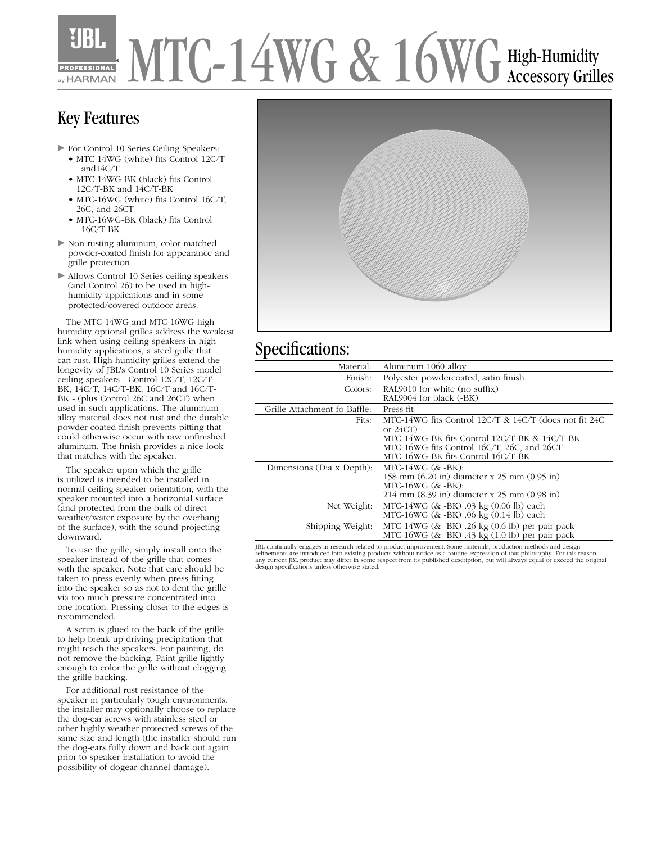# MTC-14WG & 16WG High-Humidity by HARMAN

## Key Features

- $\triangleright$  For Control 10 Series Ceiling Speakers:
	- MTC-14WG (white) fits Control 12C/T and14C/T
	- MTC-14WG-BK (black) fits Control 12C/T-BK and 14C/T-BK
	- MTC-16WG (white) fits Control 16C/T, 26C, and 26CT
	- MTC-16WG-BK (black) fits Control 16C/T-BK
- $\triangleright$  Non-rusting aluminum, color-matched powder-coated finish for appearance and grille protection
- $\blacktriangleright$  Allows Control 10 Series ceiling speakers (and Control 26) to be used in highhumidity applications and in some protected/covered outdoor areas.

 The MTC-14WG and MTC-16WG high humidity optional grilles address the weakest link when using ceiling speakers in high humidity applications, a steel grille that can rust. High humidity grilles extend the longevity of JBL's Control 10 Series model ceiling speakers - Control 12C/T, 12C/T-BK, 14C/T, 14C/T-BK, 16C/T and 16C/T-BK - (plus Control 26C and 26CT) when used in such applications. The aluminum alloy material does not rust and the durable powder-coated finish prevents pitting that could otherwise occur with raw unfinished aluminum. The finish provides a nice look that matches with the speaker.

 The speaker upon which the grille is utilized is intended to be installed in normal ceiling speaker orientation, with the speaker mounted into a horizontal surface (and protected from the bulk of direct weather/water exposure by the overhang of the surface), with the sound projecting downward.

 To use the grille, simply install onto the speaker instead of the grille that comes with the speaker. Note that care should be taken to press evenly when press-fitting into the speaker so as not to dent the grille via too much pressure concentrated into one location. Pressing closer to the edges is recommended.

 A scrim is glued to the back of the grille to help break up driving precipitation that might reach the speakers. For painting, do not remove the backing. Paint grille lightly enough to color the grille without clogging the grille backing.

 For additional rust resistance of the speaker in particularly tough environments, the installer may optionally choose to replace the dog-ear screws with stainless steel or other highly weather-protected screws of the same size and length (the installer should run the dog-ears fully down and back out again prior to speaker installation to avoid the possibility of dogear channel damage).



### Specifications:

| Material:                    | Aluminum 1060 alloy                                                                                                                                                                                     |
|------------------------------|---------------------------------------------------------------------------------------------------------------------------------------------------------------------------------------------------------|
| Finish:                      | Polyester powdercoated, satin finish                                                                                                                                                                    |
| Colors:                      | RAL $9010$ for white (no suffix)<br>RAL9004 for black (-BK)                                                                                                                                             |
| Grille Attachment fo Baffle: | Press fit                                                                                                                                                                                               |
| Fits:                        | MTC-14WG fits Control 12C/T & 14C/T (does not fit 24C<br>or $24CT$ )<br>MTC-14WG-BK fits Control 12C/T-BK & 14C/T-BK<br>MTC-16WG fits Control 16C/T, 26C, and 26CT<br>MTC-16WG-BK fits Control 16C/T-BK |
| Dimensions (Dia x Depth):    | $MTC-14WG$ $($ & $-BK)$ :<br>158 mm (6.20 in) diameter x 25 mm (0.95 in)<br>$MTC-16WG$ $(8c - BK)$ :<br>214 mm (8.39 in) diameter x 25 mm (0.98 in)                                                     |
| Net Weight:                  | MTC-14WG $(8 - BK)$ .03 kg $(0.06 \text{ lb})$ each<br>MTC-16WG (& -BK) .06 kg (0.14 lb) each                                                                                                           |
| Shipping Weight:             | MTC-14WG $($ & -BK $)$ .26 kg $($ 0.6 lb $)$ per pair-pack<br>MTC-16WG $($ & -BK $)$ .43 kg $(1.0 \text{ lb})$ per pair-pack                                                                            |
|                              |                                                                                                                                                                                                         |

JBL continually engages in research related to product improvement. Some materials, production methods and design<br>refinements are introduced into existing products without notice as a routine expression of that philosophy. design specifications unless otherwise stated.